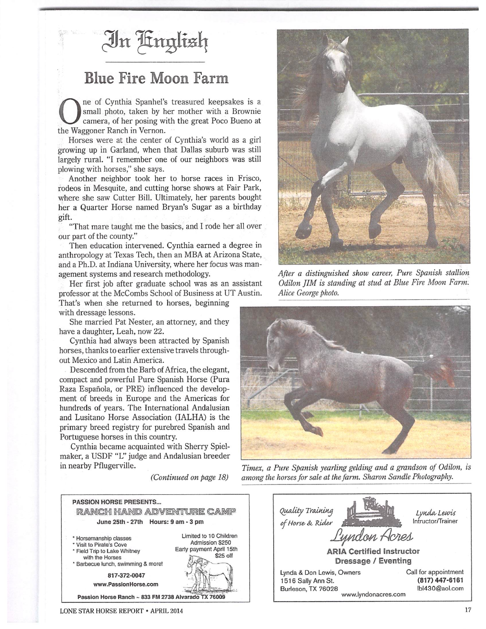

## Blue Fire Moon Farm

ne of Cynthia Spanhel's treasured keepsakes is a small photo, taken by her mother with a Brownie camera, of her posing with the great Poco Bueno at the Waggoner Ranch in Vernon.

Horses were at the center of Cynthia's world as a girl growing up in Garland, when that Dallas suburb was still largely rural. "I remember one of our neighbors was still plowing with horses," she says.

Another neighbor took her to horse races in Frisco, rodeos in Mesquite, and cutting horse shows at Fair Park, where she saw Cutter Bill. Ultimately, her parents bought her a Quarter Horse named Bryan's Sugar as a birthday gift.

"That mare taught me the basics, and I rode her all over our part of the county."

Then education intervened. Cynthia earned a degree in anthropology at Texas Tech, then an MBA at Arizona State, and a Ph.D. at Indiana University, where her focus was man agement systems and research methodology.

Her first job after graduate school was as an assistant professor at the McCombs School of Business at UT Austin.

That's when she returned to horses, beginning with dressage lessons.

She married Pat Nester, an attorney, and they have a daughter, Leah, now 22.

Cynthia had always been attracted by Spanish horses, thanks to earlier extensive travels through out Mexico and Latin America.

Descended from the Barb of Africa, the elegant, compact and powerful Pure Spanish Horse (Pura Raza Espafiola, or PRE) influenced the develop ment of breeds in Europe and the Americas for hundreds of years. The International Andalusian and Lusitano Horse Association (IALHA) is the primary breed registry for purebred Spanish and Portuguese horses in this country.

Cynthia became acquainted with Sherry Spielmaker, a USDF "L" judge and Andalusian breeder in nearby Pflugerville.

**(Continued on page 18)**





**After a distinguished show career, Pure Spanish stallion Odilon flM is standing at stud at Blue Fire Moon Farm. Alice George photo.** 



**Timex, a Pure Spanish yearling gelding and a grandson of Odilon, is among the horsesfor saleatthefarm. Sharon Sandle Photography.**

| Quality Training<br>of Horse & Rider<br>Lyndon Acres<br><b>ARIA Certified Instructor</b> | Lynda Lewis<br>Intructor/Trainer |
|------------------------------------------------------------------------------------------|----------------------------------|
| Dressage / Eventing                                                                      |                                  |
| Lynda & Don Lewis, Owners                                                                | Call for appointment             |
| 1516 Sally Ann St.                                                                       | (817) 447-6161                   |
| Burleson, TX 76028<br>www.lyndonacres.com                                                | lbl430@aol.com                   |